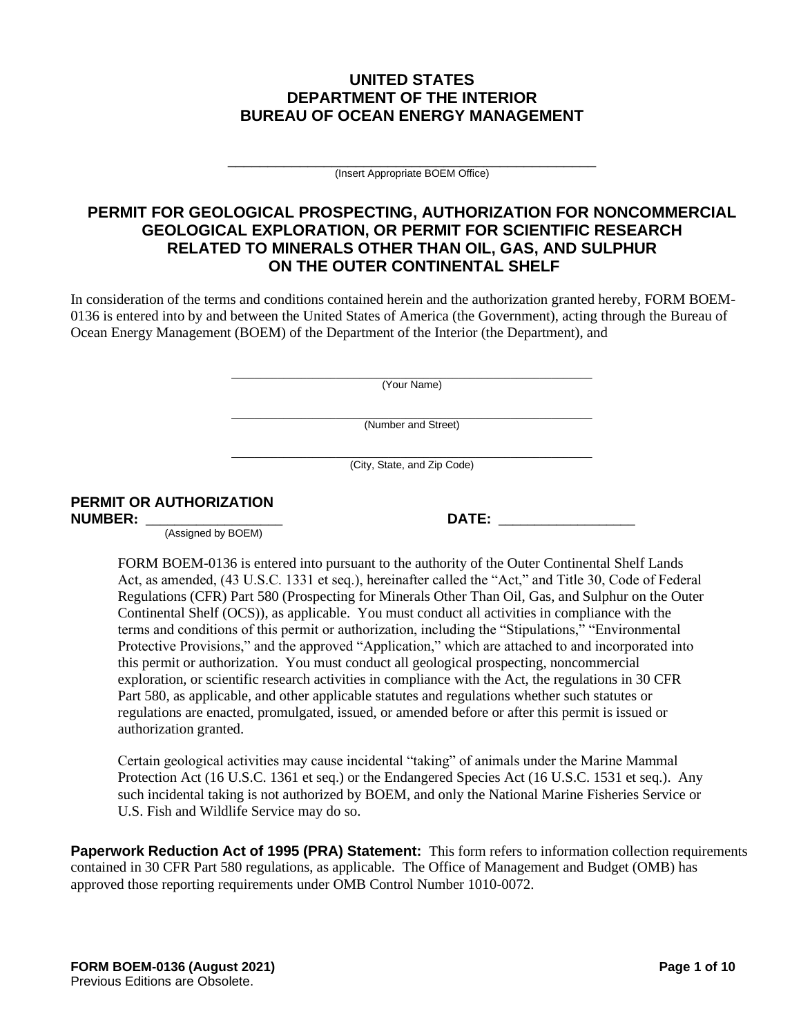# **UNITED STATES DEPARTMENT OF THE INTERIOR BUREAU OF OCEAN ENERGY MANAGEMENT**

\_\_\_\_\_\_\_\_\_\_\_\_\_\_\_\_\_\_\_\_\_\_\_\_\_\_\_\_\_\_\_\_\_\_\_\_\_\_\_\_\_\_\_\_\_\_ (Insert Appropriate BOEM Office)

# **PERMIT FOR GEOLOGICAL PROSPECTING, AUTHORIZATION FOR NONCOMMERCIAL GEOLOGICAL EXPLORATION, OR PERMIT FOR SCIENTIFIC RESEARCH RELATED TO MINERALS OTHER THAN OIL, GAS, AND SULPHUR ON THE OUTER CONTINENTAL SHELF**

In consideration of the terms and conditions contained herein and the authorization granted hereby, FORM BOEM-0136 is entered into by and between the United States of America (the Government), acting through the Bureau of Ocean Energy Management (BOEM) of the Department of the Interior (the Department), and

> $\_$  , and the set of the set of the set of the set of the set of the set of the set of the set of the set of the set of the set of the set of the set of the set of the set of the set of the set of the set of the set of th (Your Name)

> \_\_\_\_\_\_\_\_\_\_\_\_\_\_\_\_\_\_\_\_\_\_\_\_\_\_\_\_\_\_\_\_\_\_\_\_\_\_\_\_\_\_\_\_\_\_\_\_\_\_\_\_\_\_\_\_\_\_\_\_\_\_ (Number and Street)

> \_\_\_\_\_\_\_\_\_\_\_\_\_\_\_\_\_\_\_\_\_\_\_\_\_\_\_\_\_\_\_\_\_\_\_\_\_\_\_\_\_\_\_\_\_\_\_\_\_\_\_\_\_\_\_\_\_\_\_\_\_\_ (City, State, and Zip Code)

> > $\blacksquare$  **DATE:**  $\blacksquare$

# **PERMIT OR AUTHORIZATION**

(Assigned by BOEM)

FORM BOEM-0136 is entered into pursuant to the authority of the Outer Continental Shelf Lands Act, as amended, (43 U.S.C. 1331 et seq.), hereinafter called the "Act," and Title 30, Code of Federal Regulations (CFR) Part 580 (Prospecting for Minerals Other Than Oil, Gas, and Sulphur on the Outer Continental Shelf (OCS)), as applicable. You must conduct all activities in compliance with the terms and conditions of this permit or authorization, including the "Stipulations," "Environmental Protective Provisions," and the approved "Application," which are attached to and incorporated into this permit or authorization. You must conduct all geological prospecting, noncommercial exploration, or scientific research activities in compliance with the Act, the regulations in 30 CFR Part 580, as applicable, and other applicable statutes and regulations whether such statutes or regulations are enacted, promulgated, issued, or amended before or after this permit is issued or authorization granted.

Certain geological activities may cause incidental "taking" of animals under the Marine Mammal Protection Act (16 U.S.C. 1361 et seq.) or the Endangered Species Act (16 U.S.C. 1531 et seq.). Any such incidental taking is not authorized by BOEM, and only the National Marine Fisheries Service or U.S. Fish and Wildlife Service may do so.

**Paperwork Reduction Act of 1995 (PRA) Statement:** This form refers to information collection requirements contained in 30 CFR Part 580 regulations, as applicable. The Office of Management and Budget (OMB) has approved those reporting requirements under OMB Control Number 1010-0072.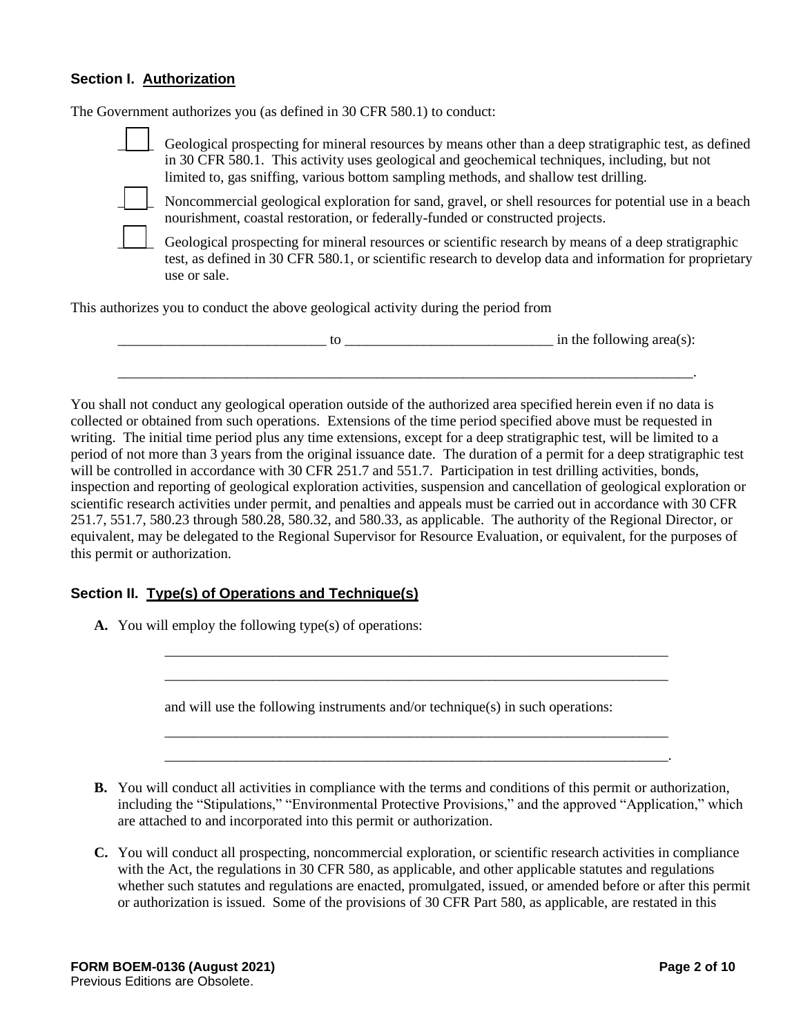#### **Section I. Authorization**

The Government authorizes you (as defined in 30 CFR 580.1) to conduct: \_\_\_\_\_ Geological prospecting for mineral resources by means other than a deep stratigraphic test, as defined in 30 CFR 580.1. This activity uses geological and geochemical techniques, including, but not limited to, gas sniffing, various bottom sampling methods, and shallow test drilling. Noncommercial geological exploration for sand, gravel, or shell resources for potential use in a beach nourishment, coastal restoration, or federally-funded or constructed projects. \_\_\_\_\_ Geological prospecting for mineral resources or scientific research by means of a deep stratigraphic test, as defined in 30 CFR 580.1, or scientific research to develop data and information for proprietary use or sale. This authorizes you to conduct the above geological activity during the period from  $\alpha$  to  $\alpha$  in the following area(s):

You shall not conduct any geological operation outside of the authorized area specified herein even if no data is collected or obtained from such operations. Extensions of the time period specified above must be requested in writing. The initial time period plus any time extensions, except for a deep stratigraphic test, will be limited to a period of not more than 3 years from the original issuance date. The duration of a permit for a deep stratigraphic test will be controlled in accordance with 30 CFR 251.7 and 551.7. Participation in test drilling activities, bonds, inspection and reporting of geological exploration activities, suspension and cancellation of geological exploration or scientific research activities under permit, and penalties and appeals must be carried out in accordance with 30 CFR 251.7, 551.7, 580.23 through 580.28, 580.32, and 580.33, as applicable. The authority of the Regional Director, or equivalent, may be delegated to the Regional Supervisor for Resource Evaluation, or equivalent, for the purposes of this permit or authorization.

\_\_\_\_\_\_\_\_\_\_\_\_\_\_\_\_\_\_\_\_\_\_\_\_\_\_\_\_\_\_\_\_\_\_\_\_\_\_\_\_\_\_\_\_\_\_\_\_\_\_\_\_\_\_\_\_\_\_\_\_\_\_\_\_\_\_\_\_\_\_\_\_\_\_\_\_\_\_\_\_.

#### **Section II. Type(s) of Operations and Technique(s)**

**A.** You will employ the following type(s) of operations:

and will use the following instruments and/or technique(s) in such operations:

**B.** You will conduct all activities in compliance with the terms and conditions of this permit or authorization, including the "Stipulations," "Environmental Protective Provisions," and the approved "Application," which are attached to and incorporated into this permit or authorization.

\_\_\_\_\_\_\_\_\_\_\_\_\_\_\_\_\_\_\_\_\_\_\_\_\_\_\_\_\_\_\_\_\_\_\_\_\_\_\_\_\_\_\_\_\_\_\_\_\_\_\_\_\_\_\_\_\_\_\_\_\_\_\_\_\_\_\_\_\_\_ \_\_\_\_\_\_\_\_\_\_\_\_\_\_\_\_\_\_\_\_\_\_\_\_\_\_\_\_\_\_\_\_\_\_\_\_\_\_\_\_\_\_\_\_\_\_\_\_\_\_\_\_\_\_\_\_\_\_\_\_\_\_\_\_\_\_\_\_\_\_

\_\_\_\_\_\_\_\_\_\_\_\_\_\_\_\_\_\_\_\_\_\_\_\_\_\_\_\_\_\_\_\_\_\_\_\_\_\_\_\_\_\_\_\_\_\_\_\_\_\_\_\_\_\_\_\_\_\_\_\_\_\_\_\_\_\_\_\_\_\_ \_\_\_\_\_\_\_\_\_\_\_\_\_\_\_\_\_\_\_\_\_\_\_\_\_\_\_\_\_\_\_\_\_\_\_\_\_\_\_\_\_\_\_\_\_\_\_\_\_\_\_\_\_\_\_\_\_\_\_\_\_\_\_\_\_\_\_\_\_\_.

**C.** You will conduct all prospecting, noncommercial exploration, or scientific research activities in compliance with the Act, the regulations in 30 CFR 580, as applicable, and other applicable statutes and regulations whether such statutes and regulations are enacted, promulgated, issued, or amended before or after this permit or authorization is issued. Some of the provisions of 30 CFR Part 580, as applicable, are restated in this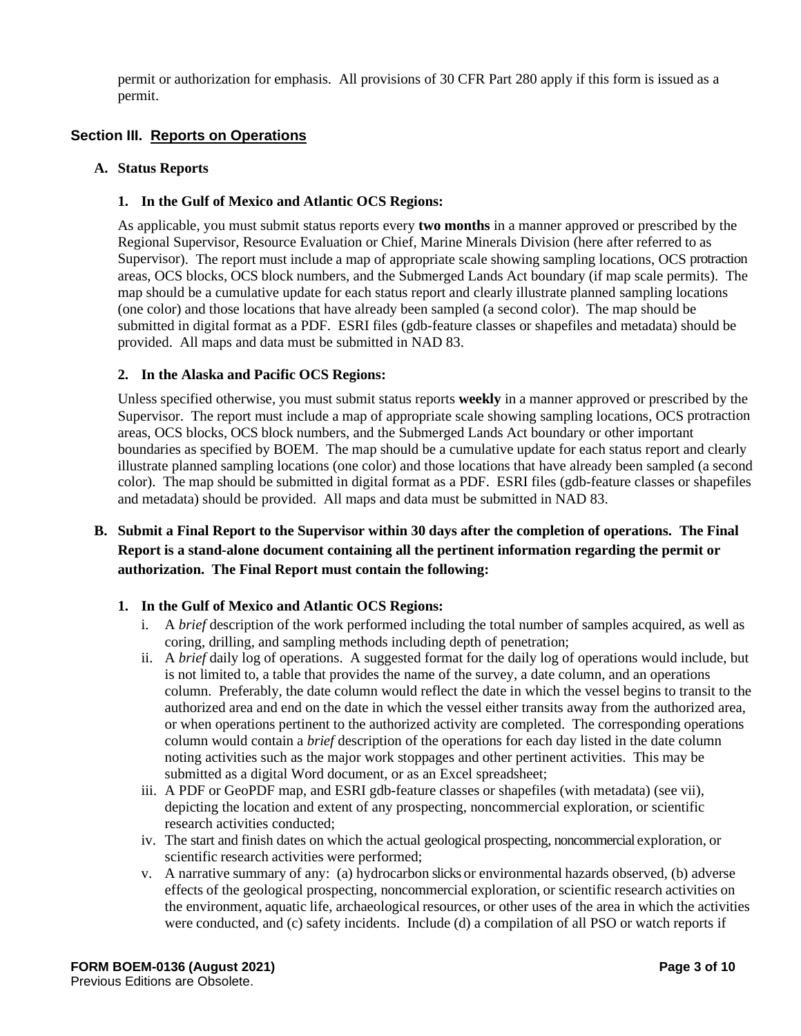permit or authorization for emphasis. All provisions of 30 CFR Part 280 apply if this form is issued as a permit.

# **Section III. Reports on Operations**

#### **A. Status Reports**

### **1. In the Gulf of Mexico and Atlantic OCS Regions:**

As applicable, you must submit status reports every **two months** in a manner approved or prescribed by the Regional Supervisor, Resource Evaluation or Chief, Marine Minerals Division (here after referred to as Supervisor). The report must include a map of appropriate scale showing sampling locations, OCS protraction areas, OCS blocks, OCS block numbers, and the Submerged Lands Act boundary (if map scale permits). The map should be a cumulative update for each status report and clearly illustrate planned sampling locations (one color) and those locations that have already been sampled (a second color). The map should be submitted in digital format as a PDF. ESRI files (gdb-feature classes or shapefiles and metadata) should be provided. All maps and data must be submitted in NAD 83.

### **2. In the Alaska and Pacific OCS Regions:**

Unless specified otherwise, you must submit status reports **weekly** in a manner approved or prescribed by the Supervisor. The report must include a map of appropriate scale showing sampling locations, OCS protraction areas, OCS blocks, OCS block numbers, and the Submerged Lands Act boundary or other important boundaries as specified by BOEM. The map should be a cumulative update for each status report and clearly illustrate planned sampling locations (one color) and those locations that have already been sampled (a second color). The map should be submitted in digital format as a PDF. ESRI files (gdb-feature classes or shapefiles and metadata) should be provided. All maps and data must be submitted in NAD 83.

# **B. Submit a Final Report to the Supervisor within 30 days after the completion of operations. The Final Report is a stand-alone document containing all the pertinent information regarding the permit or authorization. The Final Report must contain the following:**

#### **1. In the Gulf of Mexico and Atlantic OCS Regions:**

- i. A *brief* description of the work performed including the total number of samples acquired, as well as coring, drilling, and sampling methods including depth of penetration;
- ii. A *brief* daily log of operations. A suggested format for the daily log of operations would include, but is not limited to, a table that provides the name of the survey, a date column, and an operations column. Preferably, the date column would reflect the date in which the vessel begins to transit to the authorized area and end on the date in which the vessel either transits away from the authorized area, or when operations pertinent to the authorized activity are completed. The corresponding operations column would contain a *brief* description of the operations for each day listed in the date column noting activities such as the major work stoppages and other pertinent activities. This may be submitted as a digital Word document, or as an Excel spreadsheet;
- iii. A PDF or GeoPDF map, and ESRI gdb-feature classes or shapefiles (with metadata) (see vii), depicting the location and extent of any prospecting, noncommercial exploration, or scientific research activities conducted;
- iv. The start and finish dates on which the actual geological prospecting, noncommercial exploration, or scientific research activities were performed;
- v. A narrative summary of any: (a) hydrocarbon slicks or environmental hazards observed, (b) adverse effects of the geological prospecting, noncommercial exploration, or scientific research activities on the environment, aquatic life, archaeological resources, or other uses of the area in which the activities were conducted, and (c) safety incidents. Include (d) a compilation of all PSO or watch reports if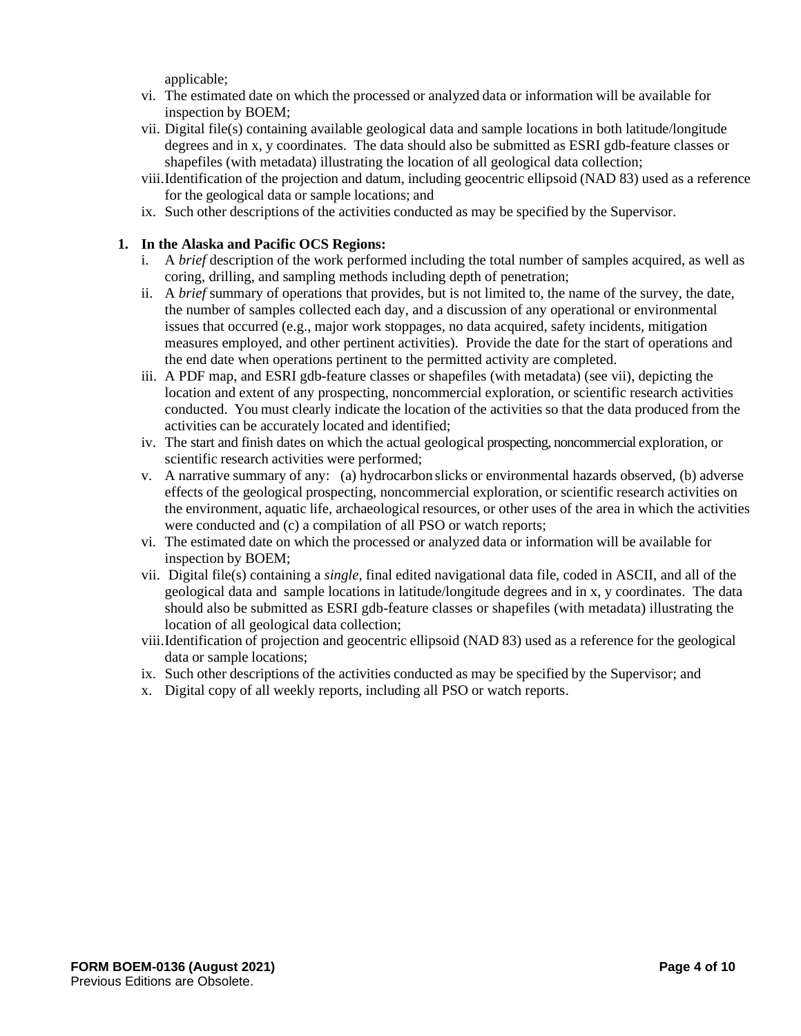applicable;

- vi. The estimated date on which the processed or analyzed data or information will be available for inspection by BOEM;
- vii. Digital file(s) containing available geological data and sample locations in both latitude/longitude degrees and in x, y coordinates. The data should also be submitted as ESRI gdb-feature classes or shapefiles (with metadata) illustrating the location of all geological data collection;
- viii.Identification of the projection and datum, including geocentric ellipsoid (NAD 83) used as a reference for the geological data or sample locations; and
- ix. Such other descriptions of the activities conducted as may be specified by the Supervisor.

#### **1. In the Alaska and Pacific OCS Regions:**

- i. A *brief* description of the work performed including the total number of samples acquired, as well as coring, drilling, and sampling methods including depth of penetration;
- ii. A *brief* summary of operations that provides, but is not limited to, the name of the survey, the date, the number of samples collected each day, and a discussion of any operational or environmental issues that occurred (e.g., major work stoppages, no data acquired, safety incidents, mitigation measures employed, and other pertinent activities). Provide the date for the start of operations and the end date when operations pertinent to the permitted activity are completed.
- iii. A PDF map, and ESRI gdb-feature classes or shapefiles (with metadata) (see vii), depicting the location and extent of any prospecting, noncommercial exploration, or scientific research activities conducted. You must clearly indicate the location of the activities so that the data produced from the activities can be accurately located and identified;
- iv. The start and finish dates on which the actual geological prospecting, noncommercial exploration, or scientific research activities were performed;
- v. A narrative summary of any: (a) hydrocarbon slicks or environmental hazards observed, (b) adverse effects of the geological prospecting, noncommercial exploration, or scientific research activities on the environment, aquatic life, archaeological resources, or other uses of the area in which the activities were conducted and (c) a compilation of all PSO or watch reports;
- vi. The estimated date on which the processed or analyzed data or information will be available for inspection by BOEM;
- vii. Digital file(s) containing a *single*, final edited navigational data file, coded in ASCII, and all of the geological data and sample locations in latitude/longitude degrees and in x, y coordinates. The data should also be submitted as ESRI gdb-feature classes or shapefiles (with metadata) illustrating the location of all geological data collection;
- viii.Identification of projection and geocentric ellipsoid (NAD 83) used as a reference for the geological data or sample locations;
- ix. Such other descriptions of the activities conducted as may be specified by the Supervisor; and
- x. Digital copy of all weekly reports, including all PSO or watch reports.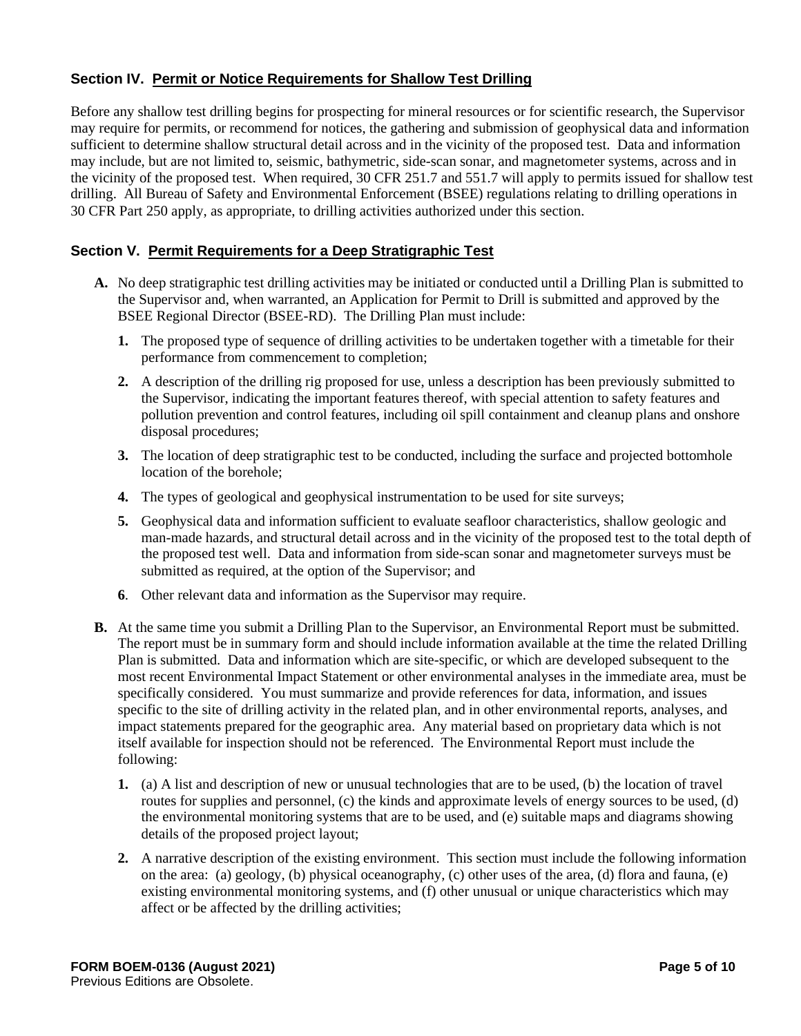# **Section IV. Permit or Notice Requirements for Shallow Test Drilling**

Before any shallow test drilling begins for prospecting for mineral resources or for scientific research, the Supervisor may require for permits, or recommend for notices, the gathering and submission of geophysical data and information sufficient to determine shallow structural detail across and in the vicinity of the proposed test. Data and information may include, but are not limited to, seismic, bathymetric, side-scan sonar, and magnetometer systems, across and in the vicinity of the proposed test. When required, 30 CFR 251.7 and 551.7 will apply to permits issued for shallow test drilling. All Bureau of Safety and Environmental Enforcement (BSEE) regulations relating to drilling operations in 30 CFR Part 250 apply, as appropriate, to drilling activities authorized under this section.

# **Section V. Permit Requirements for a Deep Stratigraphic Test**

- **A.** No deep stratigraphic test drilling activities may be initiated or conducted until a Drilling Plan is submitted to the Supervisor and, when warranted, an Application for Permit to Drill is submitted and approved by the BSEE Regional Director (BSEE-RD). The Drilling Plan must include:
	- **1.** The proposed type of sequence of drilling activities to be undertaken together with a timetable for their performance from commencement to completion;
	- **2.** A description of the drilling rig proposed for use, unless a description has been previously submitted to the Supervisor, indicating the important features thereof, with special attention to safety features and pollution prevention and control features, including oil spill containment and cleanup plans and onshore disposal procedures;
	- **3.** The location of deep stratigraphic test to be conducted, including the surface and projected bottomhole location of the borehole;
	- **4.** The types of geological and geophysical instrumentation to be used for site surveys;
	- **5.** Geophysical data and information sufficient to evaluate seafloor characteristics, shallow geologic and man-made hazards, and structural detail across and in the vicinity of the proposed test to the total depth of the proposed test well. Data and information from side-scan sonar and magnetometer surveys must be submitted as required, at the option of the Supervisor; and
	- **6**. Other relevant data and information as the Supervisor may require.
- **B.** At the same time you submit a Drilling Plan to the Supervisor, an Environmental Report must be submitted. The report must be in summary form and should include information available at the time the related Drilling Plan is submitted. Data and information which are site-specific, or which are developed subsequent to the most recent Environmental Impact Statement or other environmental analyses in the immediate area, must be specifically considered. You must summarize and provide references for data, information, and issues specific to the site of drilling activity in the related plan, and in other environmental reports, analyses, and impact statements prepared for the geographic area. Any material based on proprietary data which is not itself available for inspection should not be referenced. The Environmental Report must include the following:
	- **1.** (a) A list and description of new or unusual technologies that are to be used, (b) the location of travel routes for supplies and personnel, (c) the kinds and approximate levels of energy sources to be used, (d) the environmental monitoring systems that are to be used, and (e) suitable maps and diagrams showing details of the proposed project layout;
	- **2.** A narrative description of the existing environment. This section must include the following information on the area: (a) geology, (b) physical oceanography, (c) other uses of the area, (d) flora and fauna, (e) existing environmental monitoring systems, and (f) other unusual or unique characteristics which may affect or be affected by the drilling activities;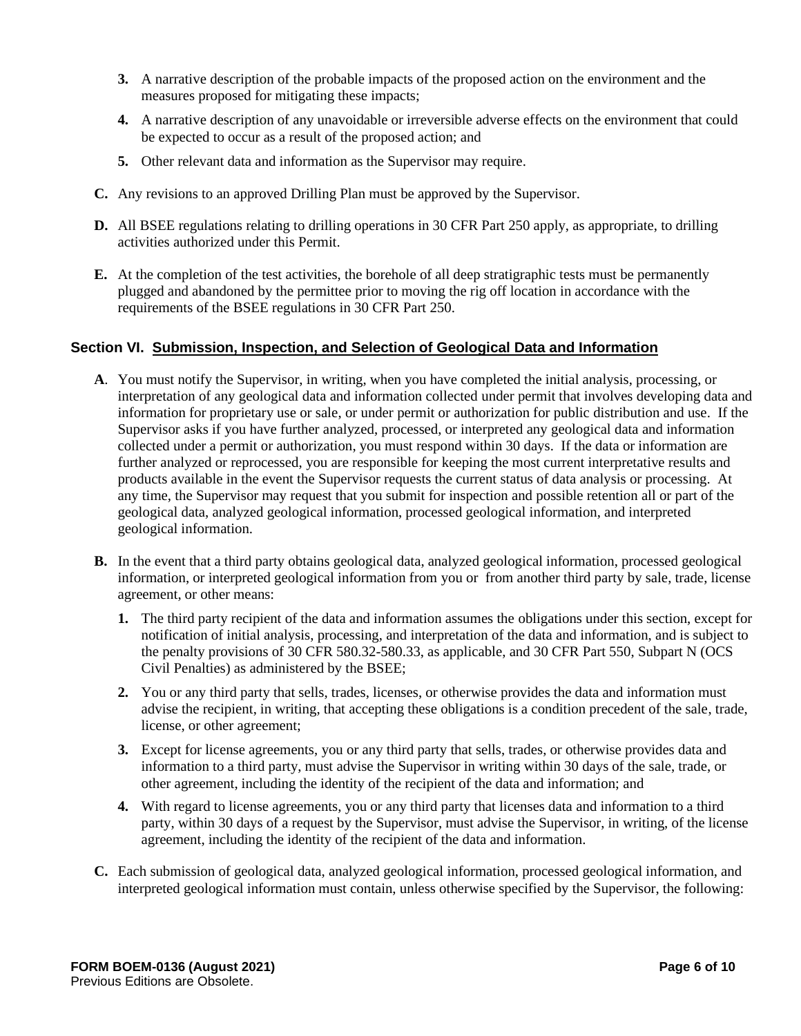- **3.** A narrative description of the probable impacts of the proposed action on the environment and the measures proposed for mitigating these impacts;
- **4.** A narrative description of any unavoidable or irreversible adverse effects on the environment that could be expected to occur as a result of the proposed action; and
- **5.** Other relevant data and information as the Supervisor may require.
- **C.** Any revisions to an approved Drilling Plan must be approved by the Supervisor.
- **D.** All BSEE regulations relating to drilling operations in 30 CFR Part 250 apply, as appropriate, to drilling activities authorized under this Permit.
- **E.** At the completion of the test activities, the borehole of all deep stratigraphic tests must be permanently plugged and abandoned by the permittee prior to moving the rig off location in accordance with the requirements of the BSEE regulations in 30 CFR Part 250.

#### **Section VI. Submission, Inspection, and Selection of Geological Data and Information**

- **A**. You must notify the Supervisor, in writing, when you have completed the initial analysis, processing, or interpretation of any geological data and information collected under permit that involves developing data and information for proprietary use or sale, or under permit or authorization for public distribution and use. If the Supervisor asks if you have further analyzed, processed, or interpreted any geological data and information collected under a permit or authorization, you must respond within 30 days. If the data or information are further analyzed or reprocessed, you are responsible for keeping the most current interpretative results and products available in the event the Supervisor requests the current status of data analysis or processing. At any time, the Supervisor may request that you submit for inspection and possible retention all or part of the geological data, analyzed geological information, processed geological information, and interpreted geological information.
- **B.** In the event that a third party obtains geological data, analyzed geological information, processed geological information, or interpreted geological information from you or from another third party by sale, trade, license agreement, or other means:
	- **1.** The third party recipient of the data and information assumes the obligations under this section, except for notification of initial analysis, processing, and interpretation of the data and information, and is subject to the penalty provisions of 30 CFR 580.32-580.33, as applicable, and 30 CFR Part 550, Subpart N (OCS Civil Penalties) as administered by the BSEE;
	- **2.** You or any third party that sells, trades, licenses, or otherwise provides the data and information must advise the recipient, in writing, that accepting these obligations is a condition precedent of the sale, trade, license, or other agreement;
	- **3.** Except for license agreements, you or any third party that sells, trades, or otherwise provides data and information to a third party, must advise the Supervisor in writing within 30 days of the sale, trade, or other agreement, including the identity of the recipient of the data and information; and
	- **4.** With regard to license agreements, you or any third party that licenses data and information to a third party, within 30 days of a request by the Supervisor, must advise the Supervisor, in writing, of the license agreement, including the identity of the recipient of the data and information.
- **C.** Each submission of geological data, analyzed geological information, processed geological information, and interpreted geological information must contain, unless otherwise specified by the Supervisor, the following: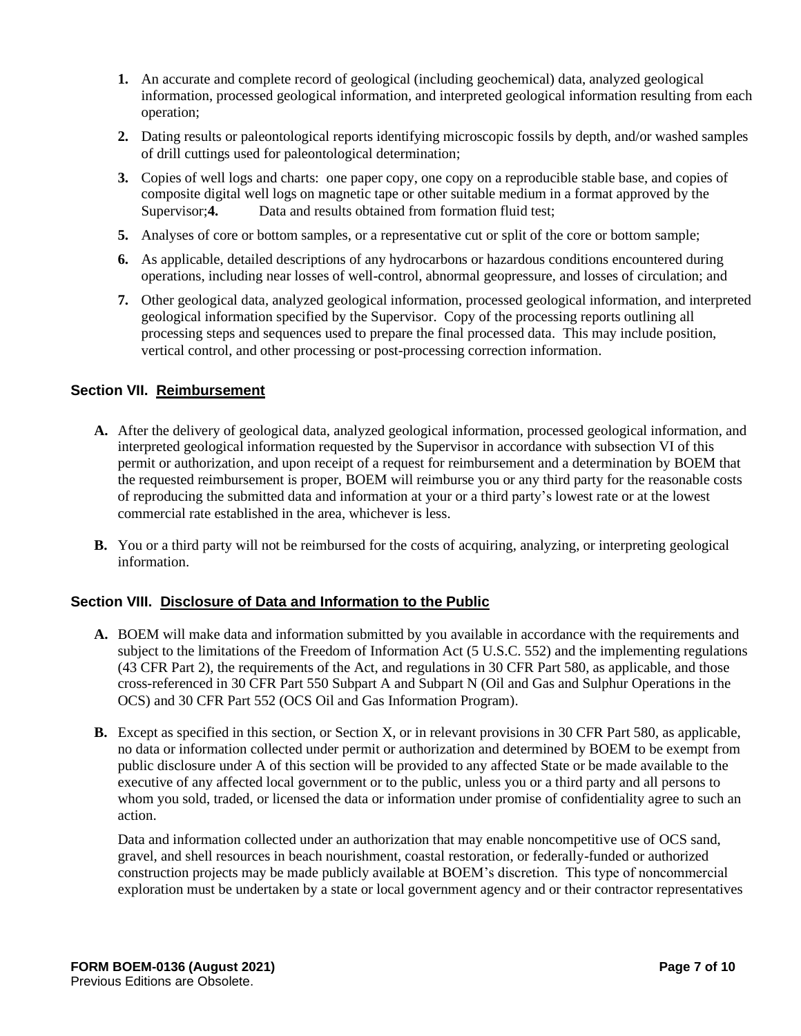- **1.** An accurate and complete record of geological (including geochemical) data, analyzed geological information, processed geological information, and interpreted geological information resulting from each operation;
- **2.** Dating results or paleontological reports identifying microscopic fossils by depth, and/or washed samples of drill cuttings used for paleontological determination;
- **3.** Copies of well logs and charts: one paper copy, one copy on a reproducible stable base, and copies of composite digital well logs on magnetic tape or other suitable medium in a format approved by the Supervisor: **4.** Data and results obtained from formation fluid test:
- **5.** Analyses of core or bottom samples, or a representative cut or split of the core or bottom sample;
- **6.** As applicable, detailed descriptions of any hydrocarbons or hazardous conditions encountered during operations, including near losses of well-control, abnormal geopressure, and losses of circulation; and
- **7.** Other geological data, analyzed geological information, processed geological information, and interpreted geological information specified by the Supervisor. Copy of the processing reports outlining all processing steps and sequences used to prepare the final processed data. This may include position, vertical control, and other processing or post-processing correction information.

#### **Section VII. Reimbursement**

- **A.** After the delivery of geological data, analyzed geological information, processed geological information, and interpreted geological information requested by the Supervisor in accordance with subsection VI of this permit or authorization, and upon receipt of a request for reimbursement and a determination by BOEM that the requested reimbursement is proper, BOEM will reimburse you or any third party for the reasonable costs of reproducing the submitted data and information at your or a third party's lowest rate or at the lowest commercial rate established in the area, whichever is less.
- **B.** You or a third party will not be reimbursed for the costs of acquiring, analyzing, or interpreting geological information.

#### **Section VIII. Disclosure of Data and Information to the Public**

- **A.** BOEM will make data and information submitted by you available in accordance with the requirements and subject to the limitations of the Freedom of Information Act (5 U.S.C. 552) and the implementing regulations (43 CFR Part 2), the requirements of the Act, and regulations in 30 CFR Part 580, as applicable, and those cross-referenced in 30 CFR Part 550 Subpart A and Subpart N (Oil and Gas and Sulphur Operations in the OCS) and 30 CFR Part 552 (OCS Oil and Gas Information Program).
- **B.** Except as specified in this section, or Section X, or in relevant provisions in 30 CFR Part 580, as applicable, no data or information collected under permit or authorization and determined by BOEM to be exempt from public disclosure under A of this section will be provided to any affected State or be made available to the executive of any affected local government or to the public, unless you or a third party and all persons to whom you sold, traded, or licensed the data or information under promise of confidentiality agree to such an action.

Data and information collected under an authorization that may enable noncompetitive use of OCS sand, gravel, and shell resources in beach nourishment, coastal restoration, or federally-funded or authorized construction projects may be made publicly available at BOEM's discretion. This type of noncommercial exploration must be undertaken by a state or local government agency and or their contractor representatives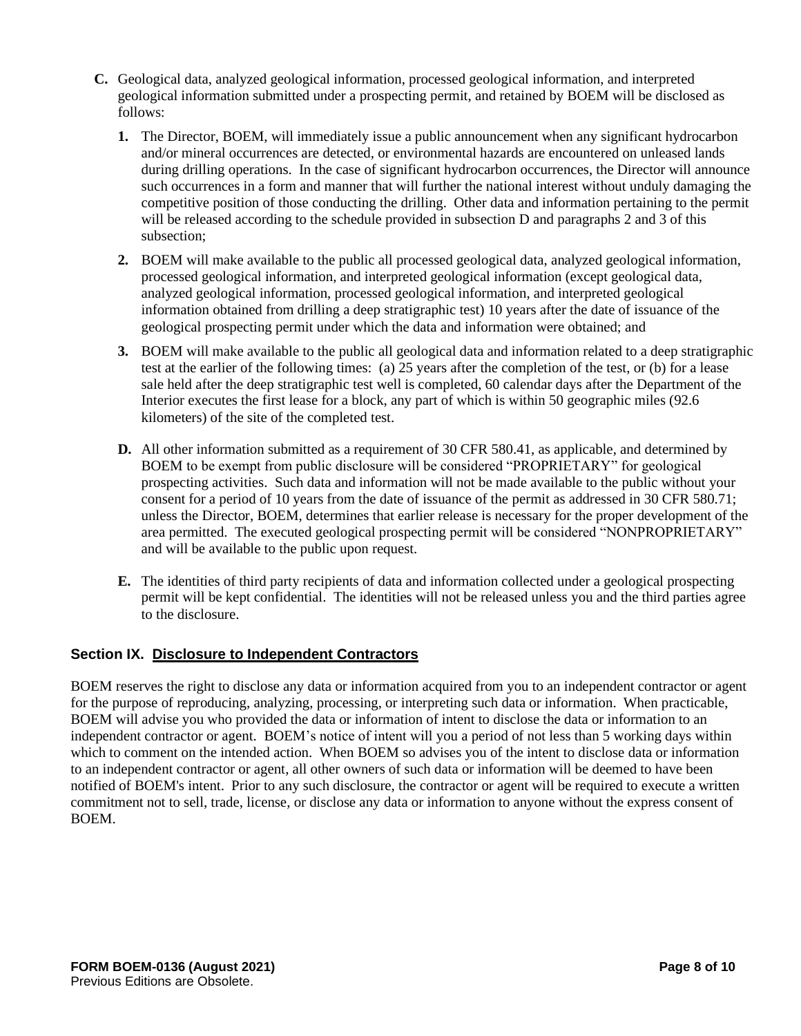- **C.** Geological data, analyzed geological information, processed geological information, and interpreted geological information submitted under a prospecting permit, and retained by BOEM will be disclosed as follows:
	- **1.** The Director, BOEM, will immediately issue a public announcement when any significant hydrocarbon and/or mineral occurrences are detected, or environmental hazards are encountered on unleased lands during drilling operations. In the case of significant hydrocarbon occurrences, the Director will announce such occurrences in a form and manner that will further the national interest without unduly damaging the competitive position of those conducting the drilling. Other data and information pertaining to the permit will be released according to the schedule provided in subsection D and paragraphs 2 and 3 of this subsection;
	- **2.** BOEM will make available to the public all processed geological data, analyzed geological information, processed geological information, and interpreted geological information (except geological data, analyzed geological information, processed geological information, and interpreted geological information obtained from drilling a deep stratigraphic test) 10 years after the date of issuance of the geological prospecting permit under which the data and information were obtained; and
	- **3.** BOEM will make available to the public all geological data and information related to a deep stratigraphic test at the earlier of the following times: (a) 25 years after the completion of the test, or (b) for a lease sale held after the deep stratigraphic test well is completed, 60 calendar days after the Department of the Interior executes the first lease for a block, any part of which is within 50 geographic miles (92.6 kilometers) of the site of the completed test.
	- **D.** All other information submitted as a requirement of 30 CFR 580.41, as applicable, and determined by BOEM to be exempt from public disclosure will be considered "PROPRIETARY" for geological prospecting activities. Such data and information will not be made available to the public without your consent for a period of 10 years from the date of issuance of the permit as addressed in 30 CFR 580.71; unless the Director, BOEM, determines that earlier release is necessary for the proper development of the area permitted. The executed geological prospecting permit will be considered "NONPROPRIETARY" and will be available to the public upon request.
	- **E.** The identities of third party recipients of data and information collected under a geological prospecting permit will be kept confidential. The identities will not be released unless you and the third parties agree to the disclosure.

# **Section IX. Disclosure to Independent Contractors**

BOEM reserves the right to disclose any data or information acquired from you to an independent contractor or agent for the purpose of reproducing, analyzing, processing, or interpreting such data or information. When practicable, BOEM will advise you who provided the data or information of intent to disclose the data or information to an independent contractor or agent. BOEM's notice of intent will you a period of not less than 5 working days within which to comment on the intended action. When BOEM so advises you of the intent to disclose data or information to an independent contractor or agent, all other owners of such data or information will be deemed to have been notified of BOEM's intent. Prior to any such disclosure, the contractor or agent will be required to execute a written commitment not to sell, trade, license, or disclose any data or information to anyone without the express consent of BOEM.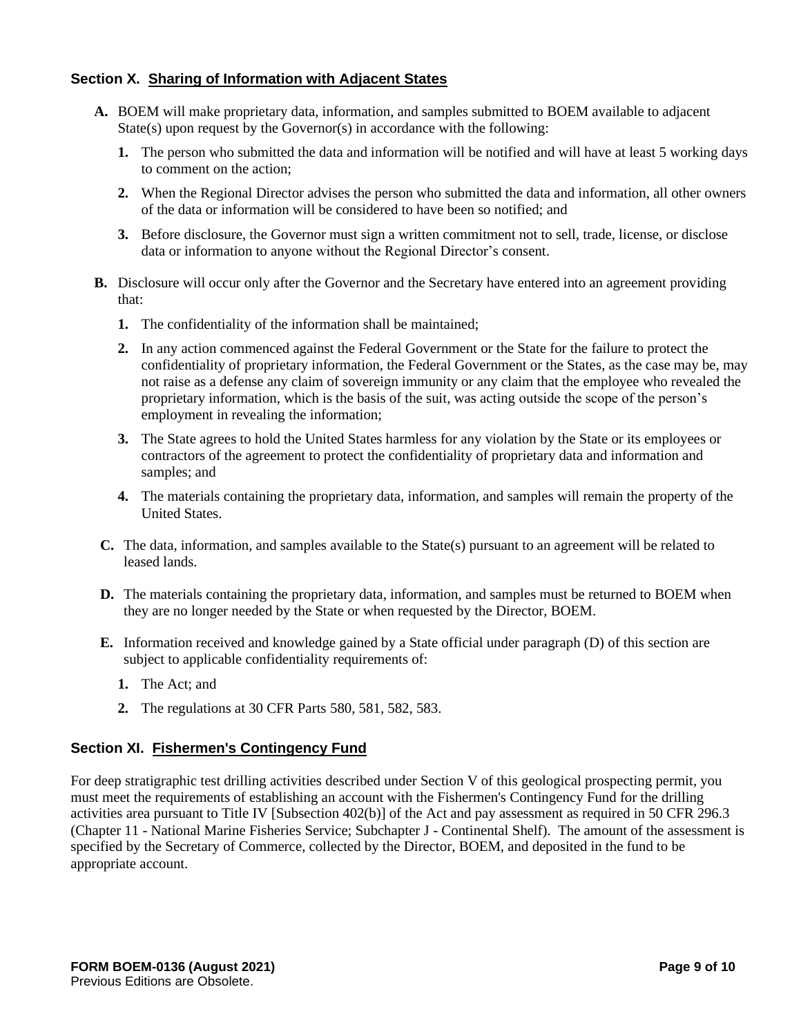# **Section X. Sharing of Information with Adjacent States**

- **A.** BOEM will make proprietary data, information, and samples submitted to BOEM available to adjacent State(s) upon request by the Governor(s) in accordance with the following:
	- **1.** The person who submitted the data and information will be notified and will have at least 5 working days to comment on the action;
	- **2.** When the Regional Director advises the person who submitted the data and information, all other owners of the data or information will be considered to have been so notified; and
	- **3.** Before disclosure, the Governor must sign a written commitment not to sell, trade, license, or disclose data or information to anyone without the Regional Director's consent.
- **B.** Disclosure will occur only after the Governor and the Secretary have entered into an agreement providing that:
	- **1.** The confidentiality of the information shall be maintained;
	- **2.** In any action commenced against the Federal Government or the State for the failure to protect the confidentiality of proprietary information, the Federal Government or the States, as the case may be, may not raise as a defense any claim of sovereign immunity or any claim that the employee who revealed the proprietary information, which is the basis of the suit, was acting outside the scope of the person's employment in revealing the information;
	- **3.** The State agrees to hold the United States harmless for any violation by the State or its employees or contractors of the agreement to protect the confidentiality of proprietary data and information and samples; and
	- **4.** The materials containing the proprietary data, information, and samples will remain the property of the United States.
- **C.** The data, information, and samples available to the State(s) pursuant to an agreement will be related to leased lands.
- **D.** The materials containing the proprietary data, information, and samples must be returned to BOEM when they are no longer needed by the State or when requested by the Director, BOEM.
- **E.** Information received and knowledge gained by a State official under paragraph (D) of this section are subject to applicable confidentiality requirements of:
	- **1.** The Act; and
	- **2.** The regulations at 30 CFR Parts 580, 581, 582, 583.

#### **Section XI. Fishermen's Contingency Fund**

For deep stratigraphic test drilling activities described under Section V of this geological prospecting permit, you must meet the requirements of establishing an account with the Fishermen's Contingency Fund for the drilling activities area pursuant to Title IV [Subsection 402(b)] of the Act and pay assessment as required in 50 CFR 296.3 (Chapter 11 - National Marine Fisheries Service; Subchapter J - Continental Shelf). The amount of the assessment is specified by the Secretary of Commerce, collected by the Director, BOEM, and deposited in the fund to be appropriate account.